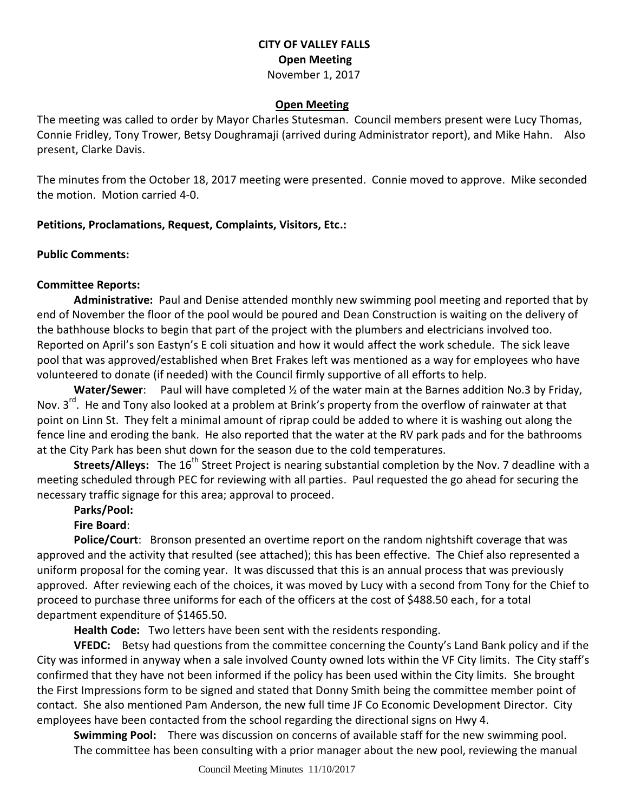# **CITY OF VALLEY FALLS Open Meeting** November 1, 2017

#### **Open Meeting**

The meeting was called to order by Mayor Charles Stutesman. Council members present were Lucy Thomas, Connie Fridley, Tony Trower, Betsy Doughramaji (arrived during Administrator report), and Mike Hahn. Also present, Clarke Davis.

The minutes from the October 18, 2017 meeting were presented. Connie moved to approve. Mike seconded the motion. Motion carried 4-0.

## **Petitions, Proclamations, Request, Complaints, Visitors, Etc.:**

#### **Public Comments:**

## **Committee Reports:**

**Administrative:** Paul and Denise attended monthly new swimming pool meeting and reported that by end of November the floor of the pool would be poured and Dean Construction is waiting on the delivery of the bathhouse blocks to begin that part of the project with the plumbers and electricians involved too. Reported on April's son Eastyn's E coli situation and how it would affect the work schedule. The sick leave pool that was approved/established when Bret Frakes left was mentioned as a way for employees who have volunteered to donate (if needed) with the Council firmly supportive of all efforts to help.

**Water/Sewer**: Paul will have completed ½ of the water main at the Barnes addition No.3 by Friday, Nov. 3<sup>rd</sup>. He and Tony also looked at a problem at Brink's property from the overflow of rainwater at that point on Linn St. They felt a minimal amount of riprap could be added to where it is washing out along the fence line and eroding the bank. He also reported that the water at the RV park pads and for the bathrooms at the City Park has been shut down for the season due to the cold temperatures.

**Streets/Alleys:** The 16<sup>th</sup> Street Project is nearing substantial completion by the Nov. 7 deadline with a meeting scheduled through PEC for reviewing with all parties. Paul requested the go ahead for securing the necessary traffic signage for this area; approval to proceed.

# **Parks/Pool:**

## **Fire Board**:

**Police/Court**: Bronson presented an overtime report on the random nightshift coverage that was approved and the activity that resulted (see attached); this has been effective. The Chief also represented a uniform proposal for the coming year. It was discussed that this is an annual process that was previously approved. After reviewing each of the choices, it was moved by Lucy with a second from Tony for the Chief to proceed to purchase three uniforms for each of the officers at the cost of \$488.50 each, for a total department expenditure of \$1465.50.

**Health Code:** Two letters have been sent with the residents responding.

**VFEDC:** Betsy had questions from the committee concerning the County's Land Bank policy and if the City was informed in anyway when a sale involved County owned lots within the VF City limits. The City staff's confirmed that they have not been informed if the policy has been used within the City limits. She brought the First Impressions form to be signed and stated that Donny Smith being the committee member point of contact. She also mentioned Pam Anderson, the new full time JF Co Economic Development Director. City employees have been contacted from the school regarding the directional signs on Hwy 4.

**Swimming Pool:** There was discussion on concerns of available staff for the new swimming pool. The committee has been consulting with a prior manager about the new pool, reviewing the manual